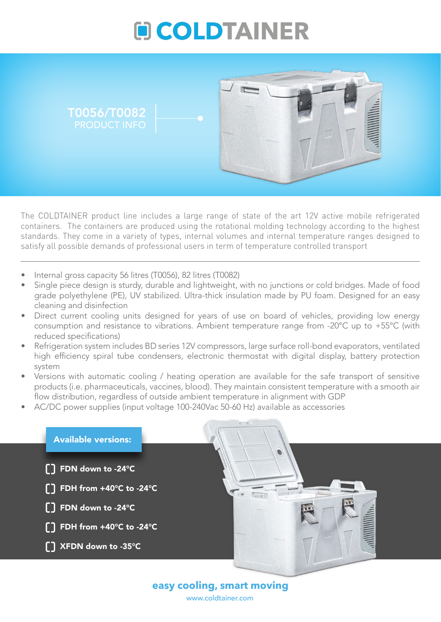



The COLDTAINER product line includes a large range of state of the art 12V active mobile refrigerated containers. The containers are produced using the rotational molding technology according to the highest standards. They come in a variety of types, internal volumes and internal temperature ranges designed to satisfy all possible demands of professional users in term of temperature controlled transport

- Internal gross capacity 56 litres (T0056), 82 litres (T0082)
- Single piece design is sturdy, durable and lightweight, with no junctions or cold bridges. Made of food grade polyethylene (PE), UV stabilized. Ultra-thick insulation made by PU foam. Designed for an easy cleaning and disinfection
- Direct current cooling units designed for years of use on board of vehicles, providing low energy consumption and resistance to vibrations. Ambient temperature range from -20°C up to +55°C (with reduced specifications)
- Refrigeration system includes BD series 12V compressors, large surface roll-bond evaporators, ventilated high efficiency spiral tube condensers, electronic thermostat with digital display, battery protection system
- Versions with automatic cooling / heating operation are available for the safe transport of sensitive products (i.e. pharmaceuticals, vaccines, blood). They maintain consistent temperature with a smooth air flow distribution, regardless of outside ambient temperature in alignment with GDP
- AC/DC power supplies (input voltage 100-240Vac 50-60 Hz) available as accessories



www.coldtainer.com